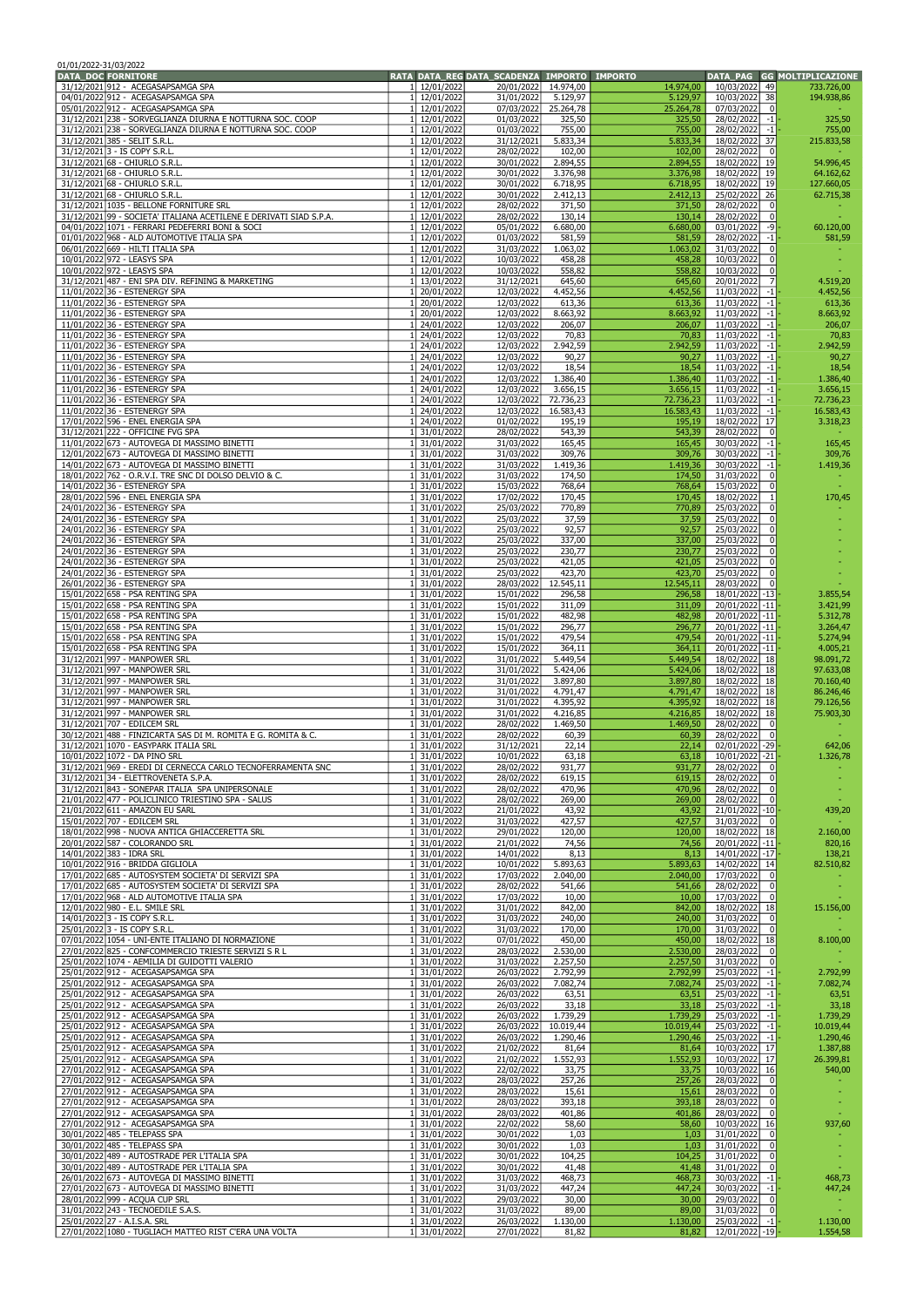| 01/01/2022-31/03/2022<br><b>DATA DOC FORNITORE</b> |                                                                                                        |                              | RATA DATA REG DATA SCADENZA | <b>IMPORTO IMPORTO</b>            |                       |                                                    | DATA PAG GG MOLTIPLICAZIONE |
|----------------------------------------------------|--------------------------------------------------------------------------------------------------------|------------------------------|-----------------------------|-----------------------------------|-----------------------|----------------------------------------------------|-----------------------------|
|                                                    | 31/12/2021 912 - ACEGASAPSAMGA SPA                                                                     | 1 12/01/2022                 | 20/01/2022                  | 14.974,00                         | 14.974,00             | 10/03/2022<br>49                                   | 733.726,00                  |
|                                                    | 04/01/2022 912 - ACEGASAPSAMGA SPA                                                                     | 12/01/2022                   | 31/01/2022                  | 5.129.97                          | 5.129,97              | 10/03/2022 38                                      | 194.938,86                  |
|                                                    | 05/01/2022 912 - ACEGASAPSAMGA SPA<br>31/12/2021 238 - SORVEGLIANZA DIURNA E NOTTURNA SOC. COOP        | 12/01/2022<br>1 12/01/2022   | 07/03/2022<br>01/03/2022    | 25.264,78<br>325,50               | 25.264,78<br>325,50   | 07/03/2022<br>$\overline{0}$<br>28/02/2022<br>$-1$ |                             |
|                                                    | 31/12/2021 238 - SORVEGLIANZA DIURNA E NOTTURNA SOC. COOP                                              | 1 12/01/2022                 | 01/03/2022                  | 755,00                            | 755,00                | 28/02/2022<br>$-1$                                 | 325,50<br>755,00            |
|                                                    | 31/12/2021 385 - SELIT S.R.L.                                                                          | 1 12/01/2022                 | 31/12/2021                  | 5.833,34                          | 5.833,34              | 18/02/2022 37                                      | 215.833,58                  |
|                                                    | 31/12/2021 3 - IS COPY S.R.L.                                                                          | 1 12/01/2022                 | 28/02/2022                  | 102,00                            | 102,00                | 28/02/2022<br>$\overline{0}$                       |                             |
|                                                    | 31/12/2021 68 - CHIURLO S.R.L.<br>31/12/2021 68 - CHIURLO S.R.L.                                       | 1 12/01/2022<br>12/01/2022   | 30/01/2022<br>30/01/2022    | 2.894,55<br>3.376,98              | 2.894,55              | 18/02/2022 19<br>18/02/2022 19                     | 54.996,45                   |
|                                                    | 31/12/2021 68 - CHIURLO S.R.L.                                                                         | 1 12/01/2022                 | 30/01/2022                  | 6.718,95                          | 3.376,98<br>6.718,95  | 18/02/2022 19                                      | 64.162,62<br>127.660,05     |
|                                                    | 31/12/2021 68 - CHIURLO S.R.L.                                                                         | 1 12/01/2022                 | 30/01/2022                  | 2.412,13                          | 2.412,13              | 25/02/2022 26                                      | 62.715,38                   |
|                                                    | 31/12/2021 1035 - BELLONE FORNITURE SRL                                                                | 1 12/01/2022                 | 28/02/2022                  | 371,50                            | 371,50                | 28/02/2022<br> 0                                   |                             |
|                                                    | 31/12/2021 99 - SOCIETA' ITALIANA ACETILENE E DERIVATI SIAD S.P.A.                                     | 12/01/2022                   | 28/02/2022                  | 130,14                            | 130,14                | 28/02/2022<br> 0                                   |                             |
|                                                    | 04/01/2022 1071 - FERRARI PEDEFERRI BONI & SOCI<br>01/01/2022 968 - ALD AUTOMOTIVE ITALIA SPA          | 12/01/2022<br>1 12/01/2022   | 05/01/2022<br>01/03/2022    | 6.680,00<br>581,59                | 6.680,00<br>581,59    | 03/01/2022<br>-9<br>28/02/2022<br>$-1$             | 60.120,00<br>581,59         |
|                                                    | 06/01/2022 669 - HILTI ITALIA SPA                                                                      | 12/01/2022                   | 31/03/2022                  | 1.063,02                          | 1.063,02              | 31/03/2022<br>$\Omega$                             |                             |
|                                                    | 10/01/2022 972 - LEASYS SPA                                                                            | 12/01/2022                   | 10/03/2022                  | 458,28                            | 458,28                | 10/03/2022<br>0                                    |                             |
|                                                    | 10/01/2022 972 - LEASYS SPA                                                                            | 12/01/2022                   | 10/03/2022                  | 558,82                            | 558,82                | 10/03/2022<br>0                                    |                             |
|                                                    | 31/12/2021 487 - ENI SPA DIV. REFINING & MARKETING<br>11/01/2022 36 - ESTENERGY SPA                    | 13/01/2022<br>20/01/2022     | 31/12/2021<br>12/03/2022    | 645,60<br>4.452,56                | 645,60<br>4.452,56    | 20/01/2022<br>11/03/2022<br>$-1$                   | 4.519,20<br>4.452,56        |
|                                                    | 11/01/2022 36 - ESTENERGY SPA                                                                          | 20/01/2022                   | 12/03/2022                  | 613,36                            | 613,36                | 11/03/2022<br>$-1$                                 | 613,36                      |
|                                                    | 11/01/2022 36 - ESTENERGY SPA                                                                          | 20/01/2022                   | 12/03/2022                  | 8.663,92                          | 8.663,92              | 11/03/2022<br>$-1$                                 | 8.663,92                    |
|                                                    | 11/01/2022 36 - ESTENERGY SPA                                                                          | 1 24/01/2022                 | 12/03/2022                  | 206,07                            | 206,07                | 11/03/2022<br>$-1$                                 | 206,07                      |
|                                                    | 11/01/2022 36 - ESTENERGY SPA<br>11/01/2022 36 - ESTENERGY SPA                                         | 1 24/01/2022<br>24/01/2022   | 12/03/2022<br>12/03/2022    | 70,83<br>2.942,59                 | 70,83<br>2.942,59     | 11/03/2022<br>$-1$<br>$11/03/2022$ -1              | 70,83<br>2.942,59           |
|                                                    | 11/01/2022 36 - ESTENERGY SPA                                                                          | 24/01/2022                   | 12/03/2022                  | 90,27                             | 90,27                 | 11/03/2022<br>$-1$                                 | 90,27                       |
|                                                    | 11/01/2022 36 - ESTENERGY SPA                                                                          | 24/01/2022                   | 12/03/2022                  | 18,54                             | 18,54                 | 11/03/2022<br>$-1$                                 | 18,54                       |
|                                                    | 11/01/2022 36 - ESTENERGY SPA                                                                          | 24/01/2022                   | 12/03/2022                  | 1.386,40                          | 1.386,40              | $11/03/2022$ -1                                    | 1.386,40                    |
|                                                    | 11/01/2022 36 - ESTENERGY SPA<br>11/01/2022 36 - ESTENERGY SPA                                         | 1 24/01/2022<br>24/01/2022   | 12/03/2022<br>12/03/2022    | 3.656,15<br>72.736,23             | 3.656,15<br>72.736,23 | 11/03/2022<br>$-1$<br>11/03/2022<br>$-1$           | 3.656,15<br>72.736,23       |
|                                                    | 11/01/2022 36 - ESTENERGY SPA                                                                          | 24/01/2022                   | 12/03/2022                  | 16.583,43                         | 16.583,43             | $11/03/2022$ -1                                    | 16.583,43                   |
|                                                    | 17/01/2022 596 - ENEL ENERGIA SPA                                                                      | 1 24/01/2022                 | 01/02/2022                  | 195,19                            | 195,19                | 18/02/2022 17                                      | 3.318,23                    |
|                                                    | 31/12/2021 222 - OFFICINE FVG SPA                                                                      | 1 31/01/2022                 | 28/02/2022                  | 543,39                            | 543,39                | 28/02/2022<br>$\overline{0}$                       |                             |
|                                                    | 11/01/2022 673 - AUTOVEGA DI MASSIMO BINETTI<br>12/01/2022 673 - AUTOVEGA DI MASSIMO BINETTI           | 31/01/2022<br>1 31/01/2022   | 31/03/2022<br>31/03/2022    | 165,45<br>309,76                  | 165,45                | 30/03/2022<br>$-1$<br>30/03/2022                   | 165,45                      |
|                                                    | 14/01/2022 673 - AUTOVEGA DI MASSIMO BINETTI                                                           | 31/01/2022                   | 31/03/2022                  | 1.419,36                          | 309,76<br>1.419,36    | $-1$<br>30/03/2022<br>$-1$                         | 309,76<br>1.419,36          |
|                                                    | 18/01/2022 762 - O.R.V.I. TRE SNC DI DOLSO DELVIO & C.                                                 | 1 31/01/2022                 | 31/03/2022                  | 174,50                            | 174,50                | 31/03/2022<br> 0                                   |                             |
|                                                    | 14/01/2022 36 - ESTENERGY SPA                                                                          | 31/01/2022                   | 15/03/2022                  | 768,64                            | 768,64                | 15/03/2022<br>0                                    |                             |
|                                                    | 28/01/2022 596 - ENEL ENERGIA SPA                                                                      | 1 31/01/2022                 | 17/02/2022                  | 170,45                            | 170,45                | 18/02/2022                                         | 170,45                      |
|                                                    | 24/01/2022 36 - ESTENERGY SPA<br>24/01/2022 36 - ESTENERGY SPA                                         | 1 31/01/2022<br>1 31/01/2022 | 25/03/2022<br>25/03/2022    | 770,89<br>37,59                   | 770,89<br>37,59       | 25/03/2022<br>$\Omega$<br>25/03/2022<br>0          |                             |
|                                                    | 24/01/2022 36 - ESTENERGY SPA                                                                          | 31/01/2022                   | 25/03/2022                  | 92,57                             | 92,57                 | 25/03/2022<br>$\overline{0}$                       |                             |
|                                                    | 24/01/2022 36 - ESTENERGY SPA                                                                          | 31/01/2022                   | 25/03/2022                  | 337,00                            | 337,00                | 25/03/2022<br>0                                    |                             |
|                                                    | 24/01/2022 36 - ESTENERGY SPA                                                                          | 1 31/01/2022                 | 25/03/2022                  | 230,77                            | 230,77                | 25/03/2022<br> 0                                   |                             |
|                                                    | 24/01/2022 36 - ESTENERGY SPA<br>24/01/2022 36 - ESTENERGY SPA                                         | 1 31/01/2022<br>1 31/01/2022 | 25/03/2022<br>25/03/2022    | 421,05<br>423,70                  | 421,05<br>423,70      | 25/03/2022<br> 0 <br>25/03/2022<br>0I              |                             |
|                                                    | 26/01/2022 36 - ESTENERGY SPA                                                                          | 1 31/01/2022                 | 28/03/2022                  | 12.545,11                         | 12.545,11             | 28/03/2022<br>0 I                                  |                             |
|                                                    | 15/01/2022 658 - PSA RENTING SPA                                                                       | 1 31/01/2022                 | 15/01/2022                  | 296,58                            | 296,58                | 18/01/2022 -13                                     | 3.855,54                    |
|                                                    | 15/01/2022 658 - PSA RENTING SPA                                                                       | 1 31/01/2022                 | 15/01/2022                  | 311,09                            | 311,09                | 20/01/2022 -11                                     | 3.421,99                    |
|                                                    | 15/01/2022 658 - PSA RENTING SPA                                                                       | 1 31/01/2022                 | 15/01/2022                  | 482,98                            | 482,98                | 20/01/2022 -11                                     | 5.312,78                    |
|                                                    | 15/01/2022 658 - PSA RENTING SPA<br>15/01/2022 658 - PSA RENTING SPA                                   | 1 31/01/2022<br>31/01/2022   | 15/01/2022<br>15/01/2022    | 296,77<br>479,54                  | 296,77<br>479,54      | 20/01/2022 -11<br>20/01/2022 - 11                  | 3.264,47<br>5.274,94        |
|                                                    | 15/01/2022 658 - PSA RENTING SPA                                                                       | 1 31/01/2022                 | 15/01/2022                  | 364,11                            | 364,11                | 20/01/2022 -11                                     | 4.005,21                    |
|                                                    | 31/12/2021 997 - MANPOWER SRL                                                                          | 31/01/2022                   | 31/01/2022                  | 5.449,54                          | 5.449,54              | 18/02/2022 18                                      | 98.091,72                   |
|                                                    | 31/12/2021 997 - MANPOWER SRL                                                                          | 1 31/01/2022                 | 31/01/2022                  | 5.424,06                          | 5.424,06              | 18/02/2022 18                                      | 97.633,08                   |
|                                                    | 31/12/2021 997 - MANPOWER SRL<br>31/12/2021 997 - MANPOWER SRL                                         | 1 31/01/2022<br>1 31/01/2022 | 31/01/2022<br>31/01/2022    | 3.897,80<br>$\overline{4.791,47}$ | 3.897,80<br>4.791,47  | 18/02/2022 18<br>18/02/2022 18                     | 70.160,40<br>86.246,46      |
|                                                    | 31/12/2021 997 - MANPOWER SRL                                                                          | 1 31/01/2022                 | 31/01/2022                  | 4.395,92                          | 4.395,92              | 18/02/2022 18                                      | 79.126,56                   |
|                                                    | 31/12/2021 997 - MANPOWER SRL                                                                          | 31/01/2022                   | 31/01/2022                  | 4.216,85                          | 4.216,85              | 18/02/2022 18                                      | 75.903,30                   |
|                                                    | 31/12/2021 707 - EDILCEM SRL                                                                           | 31/01/2022                   | 28/02/2022                  | 1.469,50                          | 1.469,50              | 28/02/2022<br>- 0                                  |                             |
|                                                    | 30/12/2021 488 - FINZICARTA SAS DI M. ROMITA E G. ROMITA & C.<br>31/12/2021 1070 - EASYPARK ITALIA SRL | 31/01/2022<br>1 31/01/2022   | 28/02/2022<br>31/12/2021    | 60,39<br>22,14                    | 60,39<br>22,14        | 28/02/2022<br>- 0 I<br>$02/01/2022$ -29            | 642,06                      |
|                                                    | 10/01/2022 1072 - DA PINO SRL                                                                          | 1 31/01/2022                 | 10/01/2022                  | 63,18                             | 63,18                 | 10/01/2022 -21                                     | 1.326,78                    |
|                                                    | 31/12/2021 969 - EREDI DI CERNECCA CARLO TECNOFERRAMENTA SNC                                           | 1 31/01/2022                 | 28/02/2022                  | 931,77                            | 931,77                | 28/02/2022<br>0 I                                  |                             |
|                                                    | 31/12/2021 34 - ELETTROVENETA S.P.A.                                                                   | 1 31/01/2022                 | 28/02/2022                  | 619,15                            | 619,15                | 28/02/2022<br>0                                    |                             |
|                                                    | 31/12/2021 843 - SONEPAR ITALIA SPA UNIPERSONALE<br>21/01/2022 477 - POLICLINICO TRIESTINO SPA - SALUS | 1 31/01/2022<br>1 31/01/2022 | 28/02/2022<br>28/02/2022    | 470,96<br>269,00                  | 470,96<br>269,00      | 28/02/2022<br>0<br>28/02/2022<br>$\overline{0}$    |                             |
|                                                    | 21/01/2022 611 - AMAZON EU SARL                                                                        | 1 31/01/2022                 | 21/01/2022                  | 43,92                             | 43,92                 | $21/01/2022$ -10                                   | 439,20                      |
|                                                    | 15/01/2022 707 - EDILCEM SRL                                                                           | 1 31/01/2022                 | 31/03/2022                  | 427,57                            | 427,57                | 31/03/2022<br>- 0 I                                |                             |
|                                                    | 18/01/2022 998 - NUOVA ANTICA GHIACCERETTA SRL                                                         | 31/01/2022                   | 29/01/2022                  | 120,00                            | 120,00                | 18/02/2022 18                                      | 2.160,00                    |
|                                                    | 20/01/2022 587 - COLORANDO SRL<br>14/01/2022 383 - IDRA SRL                                            | 1 31/01/2022<br>1 31/01/2022 | 21/01/2022<br>14/01/2022    | 74,56<br>8,13                     | 74,56<br>8,13         | 20/01/2022 -11<br>14/01/2022 -17                   | 820,16                      |
|                                                    | 10/01/2022 916 - BRIDDA GIGLIOLA                                                                       | 1 31/01/2022                 | 10/01/2022                  | 5.893,63                          | 5.893,63              | 14/02/2022 14                                      | 138,21<br>82.510,82         |
|                                                    | 17/01/2022 685 - AUTOSYSTEM SOCIETA' DI SERVIZI SPA                                                    | 1 31/01/2022                 | 17/03/2022                  | 2.040,00                          | 2.040,00              | 17/03/2022<br>-01                                  |                             |
|                                                    | 17/01/2022 685 - AUTOSYSTEM SOCIETA' DI SERVIZI SPA                                                    | 31/01/2022                   | 28/02/2022                  | 541,66                            | 541,66                | 28/02/2022<br>$\Omega$                             |                             |
|                                                    | 17/01/2022 968 - ALD AUTOMOTIVE ITALIA SPA<br>12/01/2022 980 - E.L. SMILE SRL                          | 31/01/2022<br>31/01/2022     | 17/03/2022<br>31/01/2022    | 10,00<br>842,00                   | 10,00<br>842,00       | 17/03/2022<br>- 0 I<br>18/02/2022 18               | 15.156,00                   |
|                                                    | 14/01/2022 3 - IS COPY S.R.L.                                                                          | 1 31/01/2022                 | 31/03/2022                  | 240,00                            | 240,00                | 31/03/2022<br>- 0 I                                |                             |
|                                                    | 25/01/20223 - IS COPY S.R.L.                                                                           | 1 31/01/2022                 | 31/03/2022                  | 170,00                            | 170,00                | 31/03/2022<br>- 0 I                                |                             |
|                                                    | 07/01/2022 1054 - UNI-ENTE ITALIANO DI NORMAZIONE                                                      | 1 31/01/2022                 | 07/01/2022                  | 450,00                            | 450,00                | 18/02/2022 18                                      | 8.100,00                    |
|                                                    | 27/01/2022 825 - CONFCOMMERCIO TRIESTE SERVIZI S R L<br>25/01/2022 1074 - AEMILIA DI GUIDOTTI VALERIO  | 1 31/01/2022<br>1 31/01/2022 | 28/03/2022<br>31/03/2022    | 2.530,00<br>2.257,50              | 2.530,00<br>2.257,50  | 28/03/2022<br>-01<br>31/03/2022<br>0 I             |                             |
|                                                    | 25/01/2022 912 - ACEGASAPSAMGA SPA                                                                     | 1 31/01/2022                 | 26/03/2022                  | 2.792,99                          | 2.792,99              | 25/03/2022<br>$-1$                                 | 2.792,99                    |
|                                                    | 25/01/2022 912 - ACEGASAPSAMGA SPA                                                                     | 1 31/01/2022                 | 26/03/2022                  | 7.082,74                          | 7.082,74              | 25/03/2022<br>$-1$                                 | 7.082,74                    |
|                                                    | 25/01/2022 912 - ACEGASAPSAMGA SPA                                                                     | 1 31/01/2022                 | 26/03/2022                  | 63,51                             | 63,51                 | 25/03/2022<br>$-1$                                 | 63,51                       |
|                                                    | 25/01/2022 912 - ACEGASAPSAMGA SPA<br>25/01/2022 912 - ACEGASAPSAMGA SPA                               | 31/01/2022<br>1 31/01/2022   | 26/03/2022<br>26/03/2022    | 33,18<br>1.739,29                 | 33,18<br>1.739,29     | 25/03/2022<br>$-1$<br>25/03/2022<br>$-1$           | 33,18<br>1.739,29           |
|                                                    | 25/01/2022 912 - ACEGASAPSAMGA SPA                                                                     | 1 31/01/2022                 | 26/03/2022                  | 10.019,44                         | 10.019,44             | 25/03/2022<br>$-1$                                 | 10.019,44                   |
|                                                    | 25/01/2022 912 - ACEGASAPSAMGA SPA                                                                     | 1 31/01/2022                 | 26/03/2022                  | 1.290,46                          | 1.290,46              | 25/03/2022 -1                                      | 1.290,46                    |
|                                                    | 25/01/2022 912 - ACEGASAPSAMGA SPA                                                                     | 1 31/01/2022                 | 21/02/2022                  | 81,64                             |                       | 81,64 10/03/2022 17                                | 1.387,88                    |
|                                                    | 25/01/2022 912 - ACEGASAPSAMGA SPA<br>27/01/2022 912 - ACEGASAPSAMGA SPA                               | 1 31/01/2022<br>1 31/01/2022 | 21/02/2022<br>22/02/2022    | 1.552,93<br>33,75                 | 1.552,93<br>33,75     | 10/03/2022 17<br>10/03/2022 16                     | 26.399,81<br>540,00         |
|                                                    | 27/01/2022 912 - ACEGASAPSAMGA SPA                                                                     | 1 31/01/2022                 | 28/03/2022                  | 257,26                            | 257,26                | 28/03/2022 0                                       |                             |
|                                                    | 27/01/2022 912 - ACEGASAPSAMGA SPA                                                                     | 1 31/01/2022                 | 28/03/2022                  | 15,61                             | 15,61                 | 28/03/2022 0                                       |                             |
|                                                    | 27/01/2022 912 - ACEGASAPSAMGA SPA                                                                     | 1 31/01/2022                 | 28/03/2022                  | 393,18                            | 393,18                | 28/03/2022 0                                       |                             |
|                                                    | 27/01/2022 912 - ACEGASAPSAMGA SPA<br>27/01/2022 912 - ACEGASAPSAMGA SPA                               | 1 31/01/2022<br>1 31/01/2022 | 28/03/2022<br>22/02/2022    | 401,86<br>58,60                   | 401,86<br>58,60       | 28/03/2022 0<br>10/03/2022 16                      | 937,60                      |
|                                                    | 30/01/2022 485 - TELEPASS SPA                                                                          | $1 \overline{)31/01/2022}$   | 30/01/2022                  | 1,03                              | 1,03                  | $31/01/2022$ 0                                     |                             |
|                                                    | 30/01/2022 485 - TELEPASS SPA                                                                          | 1 31/01/2022                 | 30/01/2022                  | 1,03                              | 1,03                  | $31/01/2022$ 0                                     |                             |
|                                                    | 30/01/2022 489 - AUTOSTRADE PER L'ITALIA SPA                                                           | 31/01/2022                   | 30/01/2022                  | 104,25                            | 104,25                | 31/01/2022                                         |                             |
|                                                    | 30/01/2022 489 - AUTOSTRADE PER L'ITALIA SPA<br>26/01/2022 673 - AUTOVEGA DI MASSIMO BINETTI           | 1 31/01/2022<br>1 31/01/2022 | 30/01/2022<br>31/03/2022    | 41,48<br>468,73                   | 41,48<br>468,73       | 31/01/2022<br>- Ol<br>$30/03/2022$ -1              | 468,73                      |
|                                                    | 27/01/2022 673 - AUTOVEGA DI MASSIMO BINETTI                                                           | $1 \overline{)31/01/2022}$   | 31/03/2022                  | 447,24                            | 447,24                | $30/03/2022$ -1                                    | 447,24                      |
|                                                    | 28/01/2022 999 - ACQUA CUP SRL                                                                         | 1 31/01/2022                 | 29/03/2022                  | 30,00                             | 30,00                 | 29/03/2022 0                                       |                             |
|                                                    | 31/01/2022 243 - TECNOEDILE S.A.S.                                                                     | 1 31/01/2022                 | 31/03/2022                  | 89,00                             | 89,00                 | $31/03/2022$ 0                                     |                             |
|                                                    | 25/01/2022 27 - A.I.S.A. SRL<br>27/01/2022 1080 - TUGLIACH MATTEO RIST C'ERA UNA VOLTA                 | 1 31/01/2022<br>1 31/01/2022 | 26/03/2022<br>27/01/2022    | 1.130,00<br>81,82                 | 1.130,00<br>81,82     | $25/03/2022$ -1-<br>$12/01/2022$ -19 -             | 1.130,00<br>1.554,58        |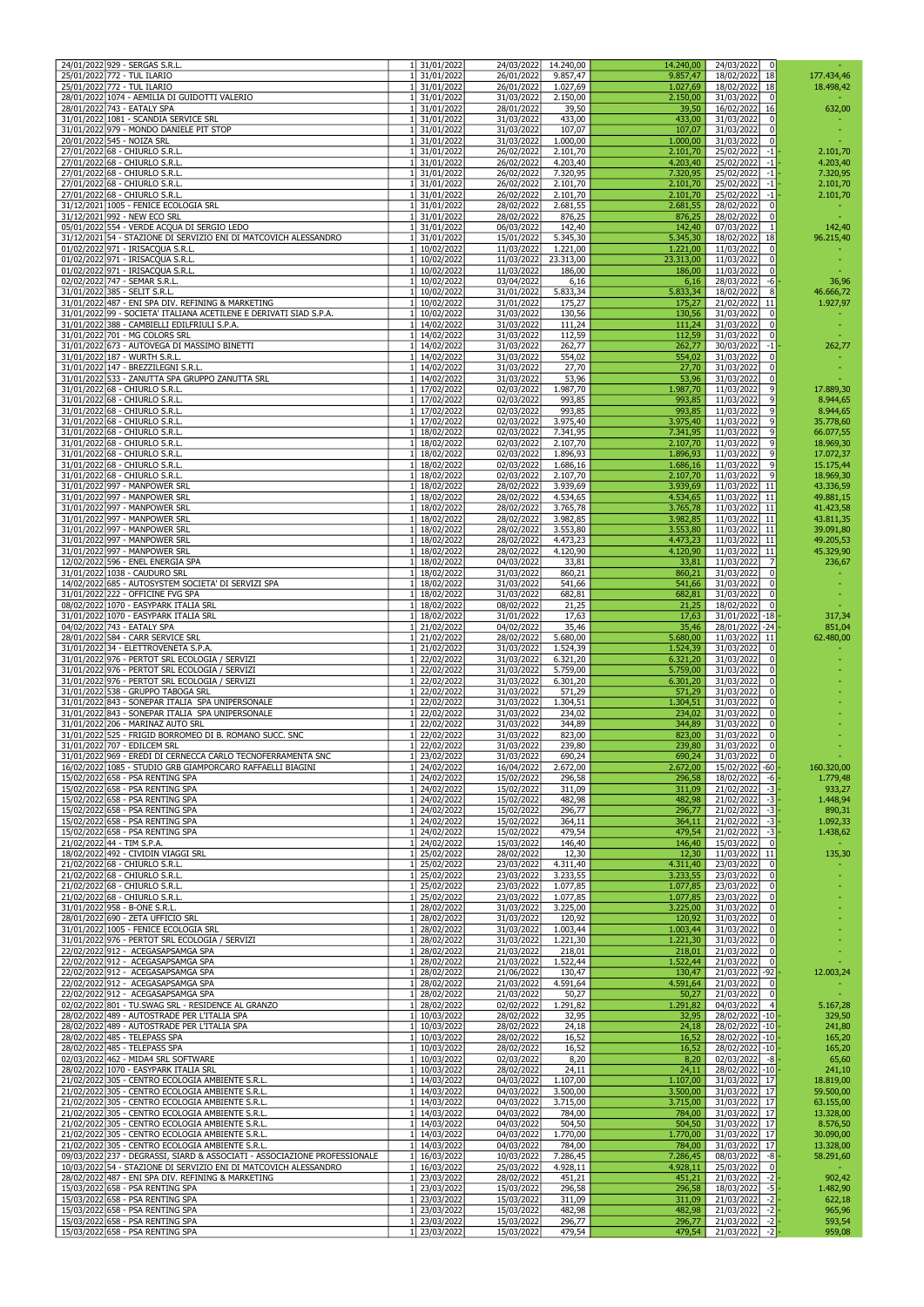| 24/01/2022 929 - SERGAS S.R.L.                                                                                                | 1 31/01/2022                 | 24/03/2022               | 14.240,00            | 14.240,00            | 24/03/2022<br>$\mathbf{0}$                      |                        |
|-------------------------------------------------------------------------------------------------------------------------------|------------------------------|--------------------------|----------------------|----------------------|-------------------------------------------------|------------------------|
| 25/01/2022 772 - TUL ILARIO                                                                                                   | 31/01/2022                   | 26/01/2022               | 9.857,47             | 9.857,47             | 18/02/2022 18                                   | 177.434,46             |
| 25/01/2022 772 - TUL ILARIO                                                                                                   | 31/01/2022                   | 26/01/2022               | 1.027,69             | 1.027,69             | 18/02/2022 18                                   | 18.498,42              |
| 28/01/2022 1074 - AEMILIA DI GUIDOTTI VALERIO                                                                                 | 31/01/2022                   | 31/03/2022               | 2.150.00             | 2.150,00             | 31/03/2022<br>$\Omega$                          |                        |
| 28/01/2022 743 - EATALY SPA                                                                                                   | 31/01/2022                   | 28/01/2022               | 39,50                | 39,50                | 16/02/2022 16                                   | 632,00                 |
| 31/01/2022 1081 - SCANDIA SERVICE SRL                                                                                         | 1 31/01/2022                 | 31/03/2022               | 433,00               | 433,00               | 31/03/2022                                      |                        |
| 31/01/2022 979 - MONDO DANIELE PIT STOP                                                                                       | 31/01/2022                   | 31/03/2022               | 107,07               | 107,07               | 31/03/2022<br>$\Omega$                          |                        |
| 20/01/2022 545 - NOIZA SRL<br>27/01/2022 68 - CHIURLO S.R.L.                                                                  | 31/01/2022<br>31/01/2022     | 31/03/2022<br>26/02/2022 | 1.000,00<br>2.101,70 | 1.000,00<br>2.101,70 | 31/03/2022<br>$\Omega$<br>25/02/2022<br>$-1$    | 2.101,70               |
| 27/01/2022 68 - CHIURLO S.R.L.                                                                                                | 31/01/2022                   | 26/02/2022               | 4.203,40             | 4.203,40             | 25/02/2022<br>$-1$                              | 4.203,40               |
| 27/01/2022 68 - CHIURLO S.R.L.                                                                                                | 31/01/2022                   | 26/02/2022               | 7.320,95             | 7.320,95             | 25/02/2022<br>$-1$                              | 7.320,95               |
| 27/01/2022 68 - CHIURLO S.R.L.                                                                                                | 31/01/2022                   | 26/02/2022               | 2.101.70             | 2.101,70             | 25/02/2022<br>$-1$                              | 2.101,70               |
| 27/01/2022 68 - CHIURLO S.R.L.                                                                                                | 1 31/01/2022                 | 26/02/2022               | 2.101,70             | 2.101,70             | 25/02/2022<br>$-1$                              | 2.101,70               |
| 31/12/2021 1005 - FENICE ECOLOGIA SRL                                                                                         | 1 31/01/2022                 | 28/02/2022               | 2.681,55             | 2.681,55             | 28/02/2022                                      |                        |
| 31/12/2021 992 - NEW ECO SRL                                                                                                  | 31/01/2022                   | 28/02/2022               | 876,25               | 876,25               | 28/02/2022<br>0                                 |                        |
| 05/01/2022 554 - VERDE ACQUA DI SERGIO LEDO<br>31/12/2021 54 - STAZIONE DI SERVIZIO ENI DI MATCOVICH ALESSANDRO               | 31/01/2022<br>1 31/01/2022   | 06/03/2022<br>15/01/2022 | 142,40<br>5.345,30   | 142,40               | 07/03/2022<br>18/02/2022 18                     | 142,40                 |
| 01/02/2022 971 - IRISACQUA S.R.L.                                                                                             | 10/02/2022                   | 11/03/2022               | 1.221,00             | 5.345,30<br>1.221,00 | 11/03/2022<br>0                                 | 96.215,40              |
| 01/02/2022 971 - IRISACQUA S.R.L.                                                                                             | 1 10/02/2022                 | 11/03/2022               | 23.313,00            | 23.313,00            | 11/03/2022<br>$\Omega$                          |                        |
| 01/02/2022 971 - IRISACQUA S.R.L.                                                                                             | 1 10/02/2022                 | 11/03/2022               | 186,00               | 186,00               | 11/03/2022<br>$\Omega$                          |                        |
| 02/02/2022 747 - SEMAR S.R.L.                                                                                                 | 10/02/2022                   | 03/04/2022               | 6,16                 | 6,16                 | 28/03/2022<br>$-6$                              | 36,96                  |
| 31/01/2022 385 - SELIT S.R.L.                                                                                                 | 10/02/2022                   | 31/01/2022               | 5.833,34             | 5.833,34             | 18/02/2022<br>8                                 | 46.666,72              |
| 31/01/2022 487 - ENI SPA DIV. REFINING & MARKETING                                                                            | 10/02/2022                   | 31/01/2022               | 175,27               | 175,27               | 21/02/2022 11                                   | 1.927,97               |
| 31/01/2022 99 - SOCIETA' ITALIANA ACETILENE E DERIVATI SIAD S.P.A.                                                            | 1 10/02/2022                 | 31/03/2022               | 130,56               | 130,56               | 31/03/2022<br>$\Omega$                          |                        |
| 31/01/2022 388 - CAMBIELLI EDILFRIULI S.P.A.<br>31/01/2022 701 - MG COLORS SRL                                                | 1 14/02/2022<br>1 14/02/2022 | 31/03/2022<br>31/03/2022 | 111,24<br>112,59     | 111,24<br>112,59     | 31/03/2022<br> 0 <br>31/03/2022<br>$\Omega$     |                        |
| 31/01/2022 673 - AUTOVEGA DI MASSIMO BINETTI                                                                                  | 14/02/2022                   | 31/03/2022               | 262,77               | 262,77               | 30/03/2022<br>$-1$                              | 262,77                 |
| 31/01/2022 187 - WURTH S.R.L.                                                                                                 | 1 14/02/2022                 | 31/03/2022               | 554,02               | 554,02               | 31/03/2022                                      |                        |
| 31/01/2022 147 - BREZZILEGNI S.R.L.                                                                                           | 1 14/02/2022                 | 31/03/2022               | 27,70                | 27,70                | 31/03/2022<br>0                                 |                        |
| 31/01/2022 533 - ZANUTTA SPA GRUPPO ZANUTTA SRL                                                                               | 1 14/02/2022                 | 31/03/2022               | 53,96                | 53,96                | 31/03/2022<br> 0                                |                        |
| 31/01/2022 68 - CHIURLO S.R.L.                                                                                                | 1 17/02/2022                 | 02/03/2022               | 1.987,70             | 1.987,70             | 11/03/2022<br>9 <sup>1</sup>                    | 17.889,30              |
| 31/01/2022 68 - CHIURLO S.R.L.                                                                                                | 1 17/02/2022                 | 02/03/2022               | 993,85               | 993,85               | 11/03/2022<br>9                                 | 8.944,65               |
| 31/01/2022 68 - CHIURLO S.R.L.                                                                                                | 1 17/02/2022                 | 02/03/2022               | 993,85               | 993,85               | 11/03/2022                                      | 8.944,65               |
| 31/01/2022 68 - CHIURLO S.R.L.                                                                                                | 1 17/02/2022                 | 02/03/2022               | 3.975,40             | 3.975,40             | 11/03/2022<br>$\vert 9 \vert$                   | 35.778,60              |
| 31/01/2022 68 - CHIURLO S.R.L.<br>31/01/2022 68 - CHIURLO S.R.L.                                                              | 1 18/02/2022<br>18/02/2022   | 02/03/2022<br>02/03/2022 | 7.341,95<br>2.107,70 | 7.341,95<br>2.107,70 | 11/03/2022<br>$\overline{9}$<br>11/03/2022<br>9 | 66.077,55<br>18.969,30 |
| 31/01/2022 68 - CHIURLO S.R.L.                                                                                                | 18/02/2022                   | 02/03/2022               | 1.896,93             | 1.896,93             | 11/03/2022<br>$\overline{9}$                    | 17.072,37              |
| 31/01/2022 68 - CHIURLO S.R.L.                                                                                                | 18/02/2022                   | 02/03/2022               | 1.686,16             | 1.686,16             | 11/03/2022<br>$\vert 9 \vert$                   | 15.175,44              |
| 31/01/2022 68 - CHIURLO S.R.L.                                                                                                | 1 18/02/2022                 | 02/03/2022               | 2.107,70             | 2.107,70             | 11/03/2022<br>$\overline{9}$                    | 18.969,30              |
| 31/01/2022 997 - MANPOWER SRL                                                                                                 | 18/02/2022                   | 28/02/2022               | 3.939,69             | 3.939,69             | 11/03/2022 11                                   | 43.336,59              |
| 31/01/2022 997 - MANPOWER SRL                                                                                                 | 18/02/2022                   | 28/02/2022               | 4.534,65             | 4.534,65             | 11/03/2022 11                                   | 49.881,15              |
| 31/01/2022 997 - MANPOWER SRL                                                                                                 | 1 18/02/2022                 | 28/02/2022               | 3.765,78             | 3.765,78             | $11/03/2022$ 11                                 | 41.423,58              |
| 31/01/2022 997 - MANPOWER SRL                                                                                                 | 18/02/2022                   | 28/02/2022               | 3.982,85             | 3.982,85             | 11/03/2022 11                                   | 43.811,35              |
| 31/01/2022 997 - MANPOWER SRL                                                                                                 | 18/02/2022                   | 28/02/2022               | 3.553,80             | 3.553,80             | 11/03/2022 11                                   | 39.091,80              |
| 31/01/2022 997 - MANPOWER SRL                                                                                                 | 18/02/2022                   | 28/02/2022               | 4.473,23             | 4.473,23             | 11/03/2022 11                                   | 49.205,53              |
| 31/01/2022 997 - MANPOWER SRL<br>12/02/2022 596 - ENEL ENERGIA SPA                                                            | 1 18/02/2022<br>1 18/02/2022 | 28/02/2022<br>04/03/2022 | 4.120,90<br>33,81    | 4.120,90<br>33,81    | 11/03/2022 11<br>11/03/2022 7                   | 45.329,90<br>236,67    |
| 31/01/2022 1038 - CAUDURO SRL                                                                                                 | 1 18/02/2022                 | 31/03/2022               | 860,21               | 860,21               | 31/03/2022<br>0l                                |                        |
| 14/02/2022 685 - AUTOSYSTEM SOCIETA' DI SERVIZI SPA                                                                           | 1 18/02/2022                 | 31/03/2022               | 541,66               | 541,66               | 31/03/2022                                      |                        |
| 31/01/2022 222 - OFFICINE FVG SPA                                                                                             | 1 18/02/2022                 | 31/03/2022               | 682,81               | 682,81               | 31/03/2022<br>$\Omega$                          |                        |
| 08/02/2022 1070 - EASYPARK ITALIA SRL                                                                                         | 18/02/2022                   | 08/02/2022               | 21,25                | 21,25                | 18/02/2022<br>$\Omega$                          |                        |
| 31/01/2022 1070 - EASYPARK ITALIA SRL                                                                                         | 18/02/2022                   | 31/01/2022               | 17,63                | 17,63                | 31/01/2022 -18                                  | 317,34                 |
| 04/02/2022 743 - EATALY SPA                                                                                                   | 21/02/2022                   | 04/02/2022               | 35,46                | 35,46                | 28/01/2022 - 24                                 | 851,04                 |
| 28/01/2022 584 - CARR SERVICE SRL                                                                                             | 21/02/2022                   | 28/02/2022               | 5.680,00             | 5.680,00             | 11/03/2022 11                                   | 62.480,00              |
| 31/01/2022 34 - ELETTROVENETA S.P.A.                                                                                          | 21/02/2022                   | 31/03/2022               | 1.524,39             | 1.524,39             | 31/03/2022<br>-01                               |                        |
| 31/01/2022 976 - PERTOT SRL ECOLOGIA / SERVIZI<br>31/01/2022 976 - PERTOT SRL ECOLOGIA / SERVIZI                              | 1 22/02/2022<br>22/02/2022   | 31/03/2022<br>31/03/2022 | 6.321,20<br>5.759,00 | 6.321,20<br>5.759,00 | 31/03/2022<br>31/03/2022                        |                        |
| 31/01/2022 976 - PERTOT SRL ECOLOGIA / SERVIZI                                                                                | 22/02/2022                   | 31/03/2022               | 6.301,20             | 6.301,20             | 31/03/2022<br>0                                 |                        |
| 31/01/2022 538 - GRUPPO TABOGA SRL                                                                                            | 22/02/2022                   | 31/03/2022               | 571,29               | 571,29               | 31/03/2022                                      |                        |
| 31/01/2022 843 - SONEPAR ITALIA SPA UNIPERSONALE                                                                              | 22/02/2022                   | 31/03/2022               | 1.304,51             | 1.304,51             | 31/03/2022                                      |                        |
| 31/01/2022 843 - SONEPAR ITALIA SPA UNIPERSONALE                                                                              | 22/02/2022                   | 31/03/2022               | 234,02               | 234,02               | 31/03/2022<br>0                                 |                        |
| 31/01/2022 206 - MARINAZ AUTO SRL                                                                                             | 22/02/2022                   | 31/03/2022               | 344,89               | 344,89               | 31/03/2022                                      |                        |
| 31/01/2022 525 - FRIGID BORROMEO DI B. ROMANO SUCC. SNC                                                                       | 22/02/2022                   | 31/03/2022               | 823,00               | 823,00               | 31/03/2022                                      |                        |
| 31/01/2022 707 - EDILCEM SRL                                                                                                  | 1 22/02/2022                 | 31/03/2022               | 239,80               | 239,80               | 31/03/2022                                      |                        |
| 31/01/2022 969 - EREDI DI CERNECCA CARLO TECNOFERRAMENTA SNC<br>16/02/2022 1085 - STUDIO GRB GIAMPORCARO RAFFAELLI BIAGINI    | 1 23/02/2022<br>24/02/2022   | 31/03/2022<br>16/04/2022 | 690,24<br>2.672,00   | 690,24<br>2.672,00   | 31/03/2022<br>$\Omega$<br>15/02/2022 -60        | 160.320,00             |
| 15/02/2022 658 - PSA RENTING SPA                                                                                              | 1 24/02/2022                 | 15/02/2022               | 296,58               | 296,58               | 18/02/2022<br>-61                               | 1.779,48               |
| 15/02/2022 658 - PSA RENTING SPA                                                                                              | 24/02/2022                   | 15/02/2022               | 311,09               | 311,09               | $21/02/2022$ -3-                                | 933,27                 |
| 15/02/2022 658 - PSA RENTING SPA                                                                                              | 24/02/2022                   | 15/02/2022               | 482,98               | 482,98               | 21/02/2022<br>-31-                              | 1.448,94               |
| 15/02/2022 658 - PSA RENTING SPA                                                                                              | 1 24/02/2022                 | 15/02/2022               | 296,77               | 296,77               | 21/02/2022<br>$-3$                              | 890,31                 |
| 15/02/2022 658 - PSA RENTING SPA                                                                                              | 24/02/2022                   | 15/02/2022               | 364,11               | 364,11               | 21/02/2022<br>$-3$ -                            | 1.092,33               |
| 15/02/2022 658 - PSA RENTING SPA                                                                                              | 24/02/2022                   | 15/02/2022               | 479,54               | 479,54               | $21/02/2022$ -3                                 | 1.438,62               |
| 21/02/2022 44 - TIM S.P.A.                                                                                                    | 1 24/02/2022                 | 15/03/2022               | 146,40               | 146,40               | 15/03/2022<br>0l                                |                        |
| 18/02/2022 492 - CIVIDIN VIAGGI SRL<br>21/02/2022 68 - CHIURLO S.R.L.                                                         | 1 25/02/2022                 | 28/02/2022               | 12,30                | 12,30                | 11/03/2022 11<br>$\Omega$                       | 135,30                 |
| 21/02/2022 68 - CHIURLO S.R.L.                                                                                                | 25/02/2022<br>25/02/2022     | 23/03/2022<br>23/03/2022 | 4.311,40<br>3.233,55 | 4.311,40<br>3.233,55 | 23/03/2022<br>23/03/2022<br>$\Omega$            |                        |
| 21/02/2022 68 - CHIURLO S.R.L.                                                                                                | 25/02/2022                   | 23/03/2022               | 1.077,85             | 1.077,85             | 23/03/2022                                      |                        |
| 21/02/2022 68 - CHIURLO S.R.L.                                                                                                | 25/02/2022                   | 23/03/2022               | 1.077,85             | 1.077,85             | 23/03/2022<br>$\Omega$                          |                        |
| 31/01/2022 958 - B-ONE S.R.L.                                                                                                 | 28/02/2022                   | 31/03/2022               | 3.225,00             | 3.225,00             | 31/03/2022                                      |                        |
| 28/01/2022 690 - ZETA UFFICIO SRL                                                                                             | 28/02/2022                   | 31/03/2022               | 120,92               | 120,92               | 31/03/2022                                      |                        |
| 31/01/2022 1005 - FENICE ECOLOGIA SRL                                                                                         | 1 28/02/2022                 | 31/03/2022               | 1.003,44             | 1.003,44             | 31/03/2022                                      |                        |
| 31/01/2022 976 - PERTOT SRL ECOLOGIA / SERVIZI                                                                                | 28/02/2022                   | 31/03/2022               | 1.221.30             | 1.221,30             | 31/03/2022                                      |                        |
| 22/02/2022 912 - ACEGASAPSAMGA SPA<br>22/02/2022 912 - ACEGASAPSAMGA SPA                                                      | 28/02/2022<br>28/02/2022     | 21/03/2022<br>21/03/2022 | 218,01<br>1.522,44   | 218,01<br>1.522,44   | 21/03/2022<br>0<br>21/03/2022<br>$\Omega$       |                        |
| 22/02/2022 912 - ACEGASAPSAMGA SPA                                                                                            | 28/02/2022                   | 21/06/2022               | 130,47               | 130,47               | 21/03/2022 -92                                  | 12.003,24              |
| 22/02/2022 912 - ACEGASAPSAMGA SPA                                                                                            | 28/02/2022                   | 21/03/2022               | 4.591,64             | 4.591,64             | 21/03/2022                                      |                        |
| 22/02/2022 912 - ACEGASAPSAMGA SPA                                                                                            | 28/02/2022                   | 21/03/2022               | 50,27                | 50,27                | 21/03/2022<br>-01                               |                        |
| 02/02/2022 801 - TU.SWAG SRL - RESIDENCE AL GRANZO                                                                            | 28/02/2022                   | 02/02/2022               | 1.291,82             | 1.291,82             | 04/03/2022<br>-41                               | 5.167,28               |
| 28/02/2022 489 - AUTOSTRADE PER L'ITALIA SPA                                                                                  | 1 10/03/2022                 | 28/02/2022               | 32,95                | 32,95                | 28/02/2022 -10 -                                | 329,50                 |
| 28/02/2022 489 - AUTOSTRADE PER L'ITALIA SPA                                                                                  | 1 10/03/2022                 | 28/02/2022               | 24,18                | 24,18                | 28/02/2022 -10 -                                | 241,80                 |
| 28/02/2022 485 - TELEPASS SPA                                                                                                 | 1 10/03/2022                 | 28/02/2022               | 16,52                | 16,52                | 28/02/2022 -10 -                                | 165,20                 |
| 28/02/2022 485 - TELEPASS SPA<br>02/03/2022 462 - MIDA4 SRL SOFTWARE                                                          | 1 10/03/2022<br>1 10/03/2022 | 28/02/2022<br>02/03/2022 | 16,52<br>8,20        | 16,52<br>8,20        | 28/02/2022 -10 -<br>$02/03/2022$ -8             | 165,20                 |
| 28/02/2022 1070 - EASYPARK ITALIA SRL                                                                                         | 1 10/03/2022                 | 28/02/2022               | 24,11                | 24,11                | 28/02/2022 - 10 -                               | 65,60<br>241,10        |
| 21/02/2022 305 - CENTRO ECOLOGIA AMBIENTE S.R.L.                                                                              | 1 14/03/2022                 | 04/03/2022               | 1.107,00             | 1.107,00             | 31/03/2022 17                                   | 18.819,00              |
| 21/02/2022 305 - CENTRO ECOLOGIA AMBIENTE S.R.L.                                                                              | 1 14/03/2022                 | 04/03/2022               | 3.500,00             | 3.500,00             | 31/03/2022 17                                   | 59.500,00              |
| 21/02/2022 305 - CENTRO ECOLOGIA AMBIENTE S.R.L.                                                                              | 1 14/03/2022                 | 04/03/2022               | 3.715,00             | 3.715,00             | 31/03/2022 17                                   | 63.155,00              |
| 21/02/2022 305 - CENTRO ECOLOGIA AMBIENTE S.R.L.                                                                              | 1 14/03/2022                 | 04/03/2022               | 784,00               | 784,00               | 31/03/2022 17                                   | 13.328,00              |
| 21/02/2022 305 - CENTRO ECOLOGIA AMBIENTE S.R.L.                                                                              | 1 14/03/2022                 | 04/03/2022               | 504,50               | 504,50               | 31/03/2022 17                                   | 8.576,50               |
| 21/02/2022 305 - CENTRO ECOLOGIA AMBIENTE S.R.L.                                                                              | 1 14/03/2022                 | 04/03/2022               | 1.770,00             | 1.770,00             | 31/03/2022 17                                   | 30.090,00              |
| 21/02/2022 305 - CENTRO ECOLOGIA AMBIENTE S.R.L.<br>09/03/2022 237 - DEGRASSI, SIARD & ASSOCIATI - ASSOCIAZIONE PROFESSIONALE | 14/03/2022<br>16/03/2022     | 04/03/2022               | 784,00               | 784,00               | 31/03/2022 17<br>$\boxed{08/03/2022}$ -8        | 13.328,00              |
| 10/03/2022 54 - STAZIONE DI SERVIZIO ENI DI MATCOVICH ALESSANDRO                                                              | 16/03/2022                   | 10/03/2022<br>25/03/2022 | 7.286,45<br>4.928,11 | 7.286,45<br>4.928,11 | 25/03/2022<br>$\Omega$                          | 58.291,60              |
| 28/02/2022 487 - ENI SPA DIV. REFINING & MARKETING                                                                            | 23/03/2022                   | 28/02/2022               | 451,21               | 451,21               | 21/03/2022<br>$-2$                              | 902,42                 |
| 15/03/2022 658 - PSA RENTING SPA                                                                                              | 23/03/2022                   | 15/03/2022               | 296,58               | 296,58               | $18/03/2022$ -5.                                | 1.482,90               |
| 15/03/2022 658 - PSA RENTING SPA                                                                                              | 1 23/03/2022                 | 15/03/2022               | 311,09               | 311,09               | 21/03/2022<br>$-2$                              | 622,18                 |
| 15/03/2022 658 - PSA RENTING SPA                                                                                              | 1 23/03/2022                 | 15/03/2022               | 482,98               | 482,98               | 21/03/2022<br>$-2$                              | 965,96                 |
| 15/03/2022 658 - PSA RENTING SPA                                                                                              | 1 23/03/2022                 | 15/03/2022               | 296,77               | 296,77               | $21/03/2022$ -2                                 | 593,54                 |
| 15/03/2022 658 - PSA RENTING SPA                                                                                              | 1 23/03/2022                 | 15/03/2022               | 479,54               | 479,54               | 21/03/2022<br>$-2$                              | 959,08                 |